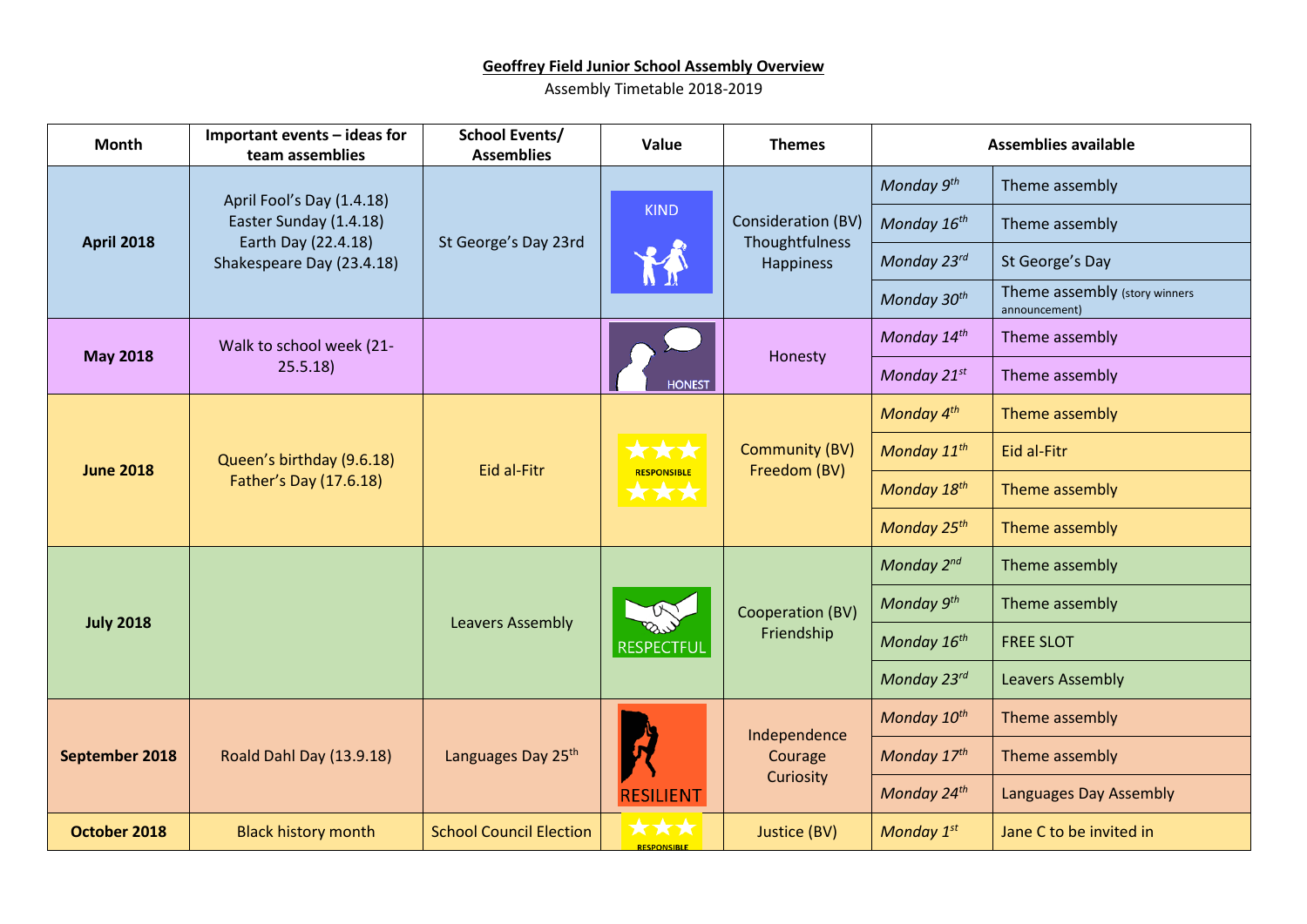## **Geoffrey Field Junior School Assembly Overview**

Assembly Timetable 2018-2019

| <b>Month</b>      | Important events - ideas for<br>team assemblies | <b>School Events/</b><br><b>Assemblies</b> | Value                            | <b>Themes</b>                                            | <b>Assemblies available</b> |                                                |
|-------------------|-------------------------------------------------|--------------------------------------------|----------------------------------|----------------------------------------------------------|-----------------------------|------------------------------------------------|
| <b>April 2018</b> | April Fool's Day (1.4.18)                       | St George's Day 23rd                       | <b>KIND</b>                      | <b>Consideration (BV)</b><br>Thoughtfulness<br>Happiness | Monday 9th                  | Theme assembly                                 |
|                   | Easter Sunday (1.4.18)<br>Earth Day (22.4.18)   |                                            |                                  |                                                          | Monday 16 <sup>th</sup>     | Theme assembly                                 |
|                   | Shakespeare Day (23.4.18)                       |                                            |                                  |                                                          | Monday 23rd                 | St George's Day                                |
|                   |                                                 |                                            |                                  |                                                          | Monday 30th                 | Theme assembly (story winners<br>announcement) |
| <b>May 2018</b>   | Walk to school week (21-                        |                                            | <b>HONEST</b>                    | Honesty                                                  | Monday 14th                 | Theme assembly                                 |
|                   | 25.5.18                                         |                                            |                                  |                                                          | Monday 21st                 | Theme assembly                                 |
| <b>June 2018</b>  |                                                 | Eid al-Fitr                                | ***<br><b>RESPONSIBLE</b><br>*** | <b>Community (BV)</b><br>Freedom (BV)                    | Monday 4th                  | Theme assembly                                 |
|                   | Queen's birthday (9.6.18)                       |                                            |                                  |                                                          | Monday 11 <sup>th</sup>     | Eid al-Fitr                                    |
|                   | Father's Day (17.6.18)                          |                                            |                                  |                                                          | Monday 18th                 | Theme assembly                                 |
|                   |                                                 |                                            |                                  |                                                          | Monday 25 <sup>th</sup>     | Theme assembly                                 |
| <b>July 2018</b>  |                                                 | <b>Leavers Assembly</b>                    | <b>RESPECTFUL</b>                | Cooperation (BV)<br>Friendship                           | Monday 2nd                  | Theme assembly                                 |
|                   |                                                 |                                            |                                  |                                                          | Monday 9th                  | Theme assembly                                 |
|                   |                                                 |                                            |                                  |                                                          | Monday 16 <sup>th</sup>     | <b>FREE SLOT</b>                               |
|                   |                                                 |                                            |                                  |                                                          | Monday 23rd                 | <b>Leavers Assembly</b>                        |
| September 2018    | Roald Dahl Day (13.9.18)                        | Languages Day 25 <sup>th</sup>             | <b>RESILIENT</b>                 | Independence<br>Courage<br>Curiosity                     | Monday 10 <sup>th</sup>     | Theme assembly                                 |
|                   |                                                 |                                            |                                  |                                                          | Monday 17th                 | Theme assembly                                 |
|                   |                                                 |                                            |                                  |                                                          | Monday 24th                 | Languages Day Assembly                         |
| October 2018      | <b>Black history month</b>                      | <b>School Council Election</b>             | XXX<br><b>DECROMEIBLE</b>        | Justice (BV)                                             | Monday 1st                  | Jane C to be invited in                        |